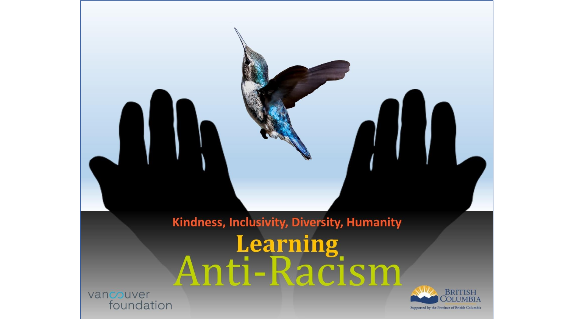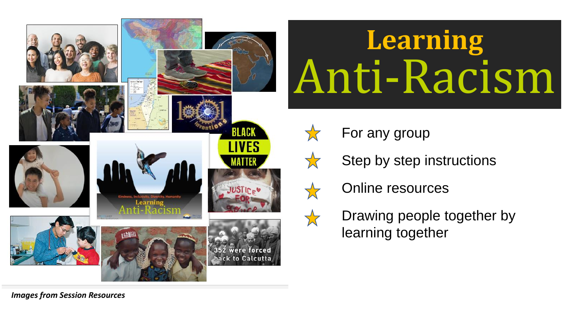

## Anti-Racism **Learning** Anti-Racism

- For any group
- Step by step instructions
- Online resources
- Drawing people together by learning together

*Images from Session Resources*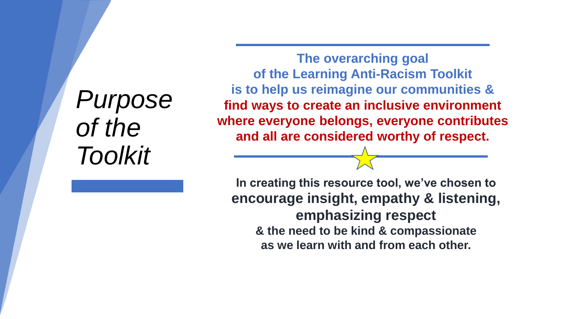# *Purpose of the Toolkit*

**The overarching goal of the Learning Anti-Racism Toolkit is to help us reimagine our communities & find ways to create an inclusive environment where everyone belongs, everyone contributes and all are considered worthy of respect.**

**In creating this resource tool, we've chosen to encourage insight, empathy & listening, emphasizing respect & the need to be kind & compassionate as we learn with and from each other.**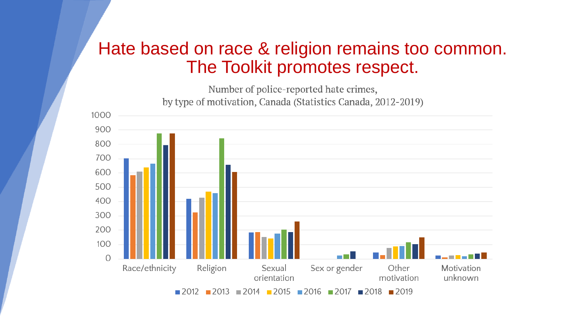#### Hate based on race & religion remains too common. The Toolkit promotes respect.

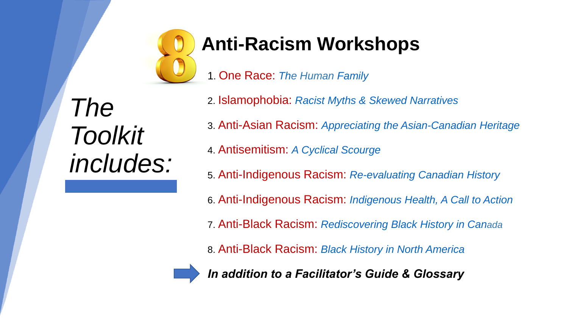

### **Anti-Racism Workshops**

1. One Race: *The Human Family*

*The Toolkit includes:*

2. Islamophobia: *Racist Myths & Skewed Narratives* 3. Anti-Asian Racism: *Appreciating the Asian-Canadian Heritage* 4. Antisemitism: *A Cyclical Scourge* 5. Anti-Indigenous Racism: *Re-evaluating Canadian History* 6. Anti-Indigenous Racism: *Indigenous Health, A Call to Action*  7. Anti-Black Racism: *Rediscovering Black History in Canada* 8. Anti-Black Racism: *Black History in North America*



*In addition to a Facilitator's Guide & Glossary*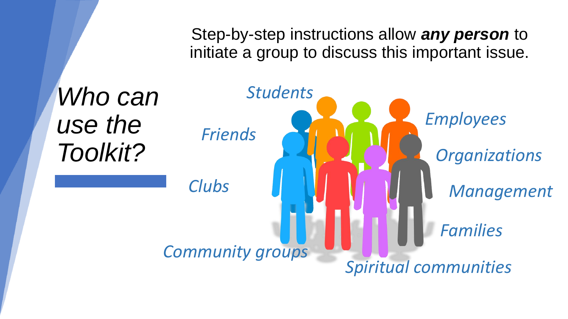Step-by-step instructions allow *any person* to initiate a group to discuss this important issue.

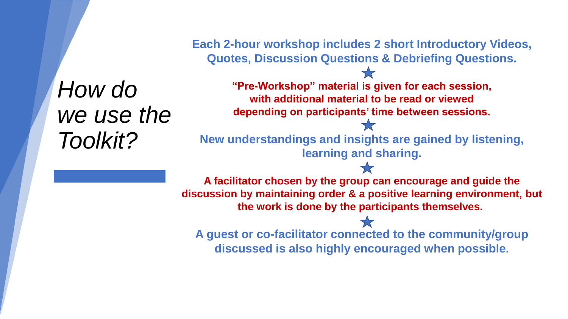*How do*  we use the *Toolkit?*

**Each 2-hour workshop includes 2 short Introductory Videos, Quotes, Discussion Questions & Debriefing Questions.**

> **"Pre-Workshop" material is given for each session, with additional material to be read or viewed depending on participants' time between sessions.**

**New understandings and insights are gained by listening, learning and sharing.** 

**A facilitator chosen by the group can encourage and guide the discussion by maintaining order & a positive learning environment, but the work is done by the participants themselves.**

**A guest or co-facilitator connected to the community/group discussed is also highly encouraged when possible.**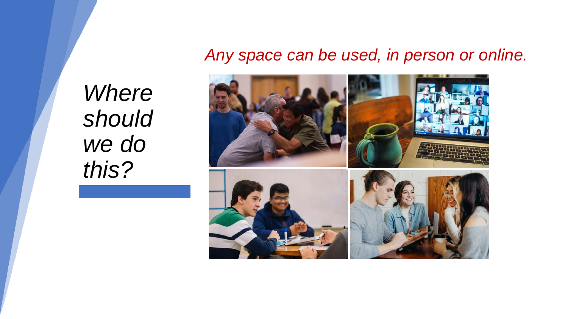#### *Any space can be used, in person or online.*

*Where should we do this?*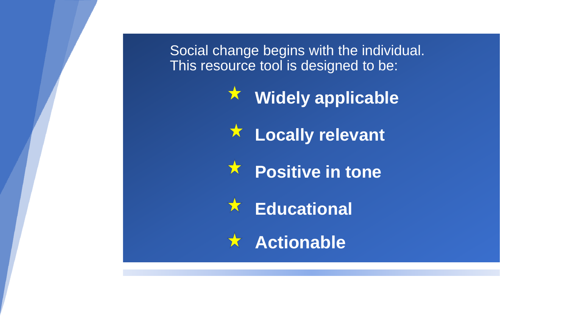Social change begins with the individual. This resource tool is designed to be:

**Widely applicable**

大 **Locally relevant**

文 **Positive in tone**

**Educational** 文

**Actionable**